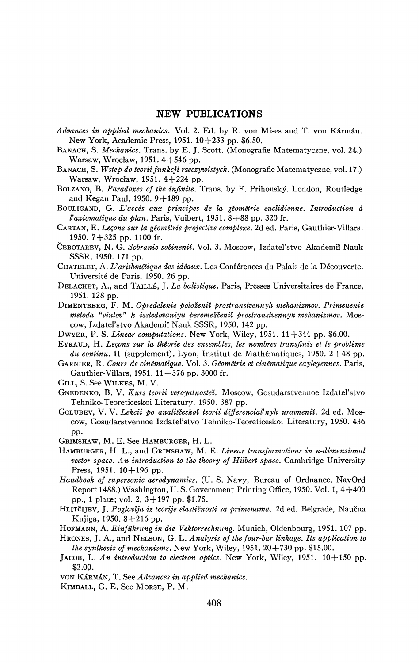## **NEW PUBLICATIONS**

- *Advances in applied mechanics.* Vol. 2. Ed. by R. von Mises and T. von Kârmân. New York, Academic Press, 1951. 10+233 pp. \$6.50.
- BANACH, S. *Mechanics.* Trans, by E. J. Scott. (Monografie Maternatyczne, vol. 24.) Warsaw, Wrocław, 1951.  $4+546$  pp.
- BANACH, S. *Wstep do teorii funkcji rzeczywistych.* (Monografie Matematyczne, vol. 17.) Warsaw, Wrocław, 1951.  $4+224$  pp.
- BOLZANO, B. *Paradoxes of the infinite.* Trans, by F. Prihonsk^. London, Routledge and Kegan Paul,  $1950.9 + 189$  pp.
- BOULIGAND, G. *L'accès aux principes de la géométrie euclidienne. Introduction à l'axiomatique du plan.* Paris, Vuibert, 1951. 8+88 pp. 320 fr.
- CARTAN, E. *Leçons sur la géométrie projective complexe.* 2d éd. Paris, Gauthier-Villars, 1950. 7+325 pp. 1100 fr.
- ČEBOTAREV, N. G. Sobranie sočineni*i*. Vol. 3. Moscow, Izdatel'stvo Akademii Nauk SSSR, 1950. 171 pp.
- CHATELET, A. *Varithmétique des idéaux.* Les Conférences du Palais de la Découverte. Université de Paris, 1950. 26 pp.
- DELACHET, A., and TAILLÉ, J. *La balistique.* Paris, Presses Universitaires de France, 1951. 128 pp.
- DIMENTBERG, F. M. *Opredelenie pololenïî prostranstvennyh mehanizmov. Primenenie metoda "vintov" k issledovaniyu peremeSZenii prostranstvennyh mehanizmov.* Moscow, Izdatel'stvo Akademiï Nauk SSSR, 1950. 142 pp.
- DWYER, P. S. *Linear computations*. New York, Wiley, 1951. 11 + 344 pp. \$6.00.
- EYRAUD, H. *Leçons sur la théorie des ensembles, les nombres transfinis et le problème*   $du$  continu. II (supplement). Lyon, Institut de Mathématiques, 1950.  $2+48$  pp.
- GARNIER, R. *Cours de cinématique.* Vol. 3. *Géométrie et cinématique cayleyennes.* Paris, Gauthier-Villars, 1951.  $11+376$  pp. 3000 fr.
- GILL, S. See WILKES, M. V.
- GNEDENKO, B. V. *Kurs teorii veroyatnosteï.* Moscow, Gosudarstvennoe Izdatel'stvo Tehniko-Teoreticeskoi Literatury, 1950. 387 pp.
- GOLUBEV, V. V. Lekcii po analitčeskoĭ teorii differencial'nyh uravneniĭ. 2d ed. Moscow, Gosudarstvennoe Izdatel'stvo Tehniko-Teoreticeskoi Literatury, 1950. 436 pp.
- GRIMSHAW, M. E. See HAMBURGER, H. L.
- HAMBURGER, H. L., and GRIMSHAW, M. E. *Linear transformations in n-dimensional vector space. An introduction to the theory of Hubert space.* Cambridge University Press,  $1951. 10 + 196$  pp.
- *Handbook of supersonic aerodynamics.* (U. S. Navy, Bureau of Ordnance, NavOrd Report 1488.) Washington, U. S. Government Printing Office, 1950. Vol. 1, 4+400 pp., 1 plate; vol. 2, 3 + 197 pp. \$1.75.
- HLITČIJEV, J. Poglavlja iz teorije elastičnosti sa primenama. 2d ed. Belgrade, Naučna Knjiga, 1950.  $8+216$  pp.
- HOFMANN, A. *Einfûhrung in die Vektorrechnung.* Munich, Oldenbourg, 1951. 107 pp.
- HRONES, J. A., and NELSON, G. L. *Analysis of the four-bar linkage. Its application to the synthesis of mechanisms*. New York, Wiley,  $1951$ .  $20+730$  pp. \$15.00.
- JACOB, L. An introduction to electron optics. New York, Wiley, 1951. 10+150 pp. \$2.00.
- VON KÂRMÂN, T. See *Advances in applied mechanics.*

KIMBALL, G. E. See MORSE, P. M.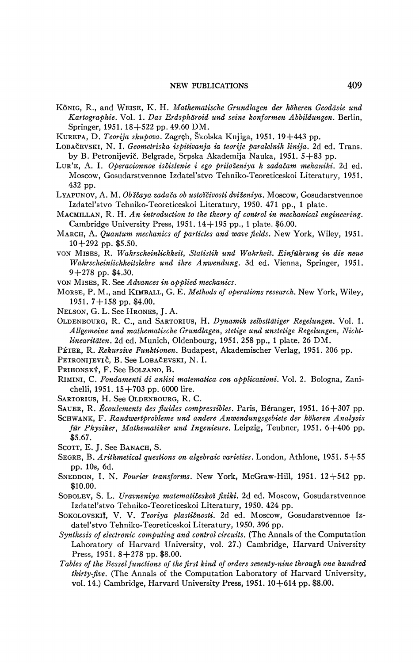- KÖNIG, R., and WEISE , K. H. *Mathematische Grundlagen der höheren Geoddsie und Kartographie.* Vol. 1. *Das Erdspharoid und seine konformen Abbildungen.* Berlin, Springer, 1951. 18+522 pp. 49.60 DM.
- KUREPA, D. *Teorija skupova.* Zagreb, Skolska Knjiga, 1951. 19+443 pp.
- LOBAÖEVSKI, N. I. *Geometriska ispitivanja iz teorije paralelnih linija,* 2d ed. Trans. by B. Petronijevič. Belgrade, Srpska Akademija Nauka, 1951. 5+83 pp.
- LUR'E, A. I. Operacionnoe isčislenie i ego priloženiya k zadačam mehaniki. 2d ed. Moscow, Gosudarstvennoe Izdatel'stvo Tehniko-Teoreticeskoi Literatury, 1951. 432 pp.
- Lyapunov, A. M. Obščaya zadača ob ustotčivosti dviženiya. Moscow, Gosudarstvennoe Izdatel'stvo Tehniko-Teoreticeskoi Literatury, 1950. 471 pp., 1 plate.
- MACMILLAN, R. H. *An introduction to the theory of control in mechanical engineering.*  Cambridge University Press,  $1951. 14 + 195$  pp., 1 plate. \$6.00.
- MARCH, A. *Quantum mechanics of particles and wave fields.* New York, Wiley, 1951.  $10+292$  pp. \$5.50.
- VON MISES , R. *Wahrscheinlichkeit, Statistic und Wahrheit. Einführung in die neue Wahrscheinlichkeitslehre und ihre Anwendung.* 3d ed. Vienna, Springer, 1951.  $9+278$  pp. \$4.30.
- VON MISES , R. See *Advances in applied mechanics.*
- MORSE, P. M., and KIMBALL, G. E. *Methods of operations research.* New York, Wiley, 1951.  $7 + 158$  pp. \$4.00.
- NELSON, G. L. See HRONES, J. A.
- OLDENBOURG, R. C., and SARTORIUS, H. *Dynamik selbsttdtiger Regelungen.* Vol. 1. *Allgemeine und mathematische Grundlagen*, *stetige und unstetige Regelungen, Nichtlinearitaten.* 2d ed. Munich, Oldenbourg, 1951. 258 pp., 1 plate. 26 DM.
- PÉTER, R. *Rekursive Funktionen.* Budapest, Akademischer Verlag, 1951. 206 pp.
- PETRONIJEVIČ, B. See LOBAČEVSKI, N. I.
- PRIHONSKÝ, F. See BOLZANO, B.
- RIMINI, C. *Fondamenti di anlisi matematica con applicazioni.* Vol. 2. Bologna, Zanichelli, 1951. 15+703 pp. 6000 lire.
- SARTORIUS, H. See OLDENBOURG, R. C.
- SAUER, R. *Écoulements des fluides compressibles.* Paris, Béranger, 1951. 16+307 pp.
- SCHWANK, F. *Randwertprobleme und andere Anwendungsgehiete der höheren Analysis für Physiker, Mathematiker und Ingenieure.* Leipzig, Teubner, 1951. 6+406 pp. \$5.67.
- SCOTT, E. J. See BANACH, S.
- SEGRE, B. *Arithmetical questions on algebraic varieties.* London, Athlone, 1951. 5+5 5 pp. 10s, 6d.
- SNEDDON, I. N. *Fourier transforms.* New York, McGraw-Hill, 1951. 12+542 pp. \$10.00.
- SOBOLEV, S. L. *Uravneniya matematiieshoï fiziki.* 2d ed. Moscow, Gosudarstvennoe Izdatel'stvo Tehniko-Teoreticeskoi Literatury, 1950. 424 pp.
- SOKOLOVSKII, V. V. Teoriya plastičnosti. 2d ed. Moscow, Gosudarstvennoe Izdatel'stvo Tehniko-Teoreticeskoi Literatury, 1950. 396 pp.
- *Synthesis of electronic computing and control circuits.* (The Annals of the Computation Laboratory of Harvard University, vol. 27.) Cambridge, Harvard University Press,  $1951.8 + 278$  pp. \$8.00.
- *Tables of the Bessel functions of the first kind of orders seventy-nine through one hundred thirty-five.* (The Annals of the Computation Laboratory of Harvard University, vol. 14.) Cambridge, Harvard University Press,  $1951$ .  $10+614$  pp. \$8.00.